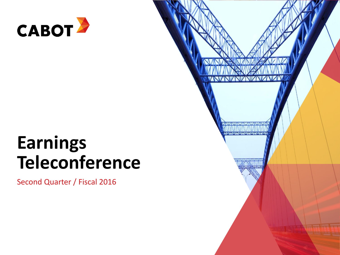

# **Earnings Teleconference**

Second Quarter / Fiscal 2016

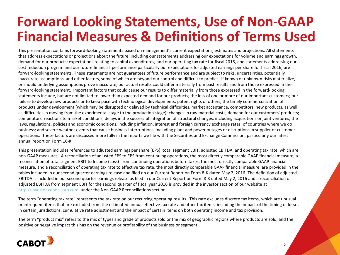# **Forward Looking Statements, Use of Non-GAAP Financial Measures & Definitions of Terms Used**

This presentation contains forward-looking statements based on management's current expectations, estimates and projections. All statements that address expectations or projections about the future, including our statements addressing our expectations for volume and earnings growth, demand for our products; expectations relating to capital expenditures, and our operating tax rate for fiscal 2016, and statements addressing our cost reduction program and our future financial performance particularly our expectations for adjusted earnings per share for fiscal 2016, are forward-looking statements. These statements are not guarantees of future performance and are subject to risks, uncertainties, potentially inaccurate assumptions, and other factors, some of which are beyond our control and difficult to predict. If known or unknown risks materialize, or should underlying assumptions prove inaccurate, our actual results could differ materially from past results and from those expressed in the forward-looking statement. Important factors that could cause our results to differ materially from those expressed in the forward-looking statements include, but are not limited to lower than expected demand for our products; the loss of one or more of our important customers; our failure to develop new products or to keep pace with technological developments; patent rights of others; the timely commercialization of products under development (which may be disrupted or delayed by technical difficulties, market acceptance, competitors' new products, as well as difficulties in moving from the experimental stage to the production stage); changes in raw material costs; demand for our customers' products; competitors' reactions to market conditions; delays in the successful integration of structural changes, including acquisitions or joint ventures; the laws, regulations, policies and economic conditions, including inflation, interest and foreign currency exchange rates, of countries where we do business; and severe weather events that cause business interruptions, including plant and power outages or disruptions in supplier or customer operations. These factors are discussed more fully in the reports we file with the Securities and Exchange Commission, particularly our latest annual report on Form 10-K.

This presentation includes references to adjusted earnings per share (EPS), total segment EBIT, adjusted EBITDA, and operating tax rate, which are non-GAAP measures. A reconciliation of adjusted EPS to EPS from continuing operations, the most directly comparable GAAP financial measure, a reconciliation of total segment EBIT to Income (Loss) from continuing operations before taxes, the most directly comparable GAAP financial measure, and a reconciliation of operating tax rate to effective tax rate, the most directly comparable GAAP financial measure, are provided in the tables included in our second quarter earnings release and filed on our Current Report on Form 8-K dated May 2, 2016. The definition of adjusted EBITDA is included in our second quarter earnings release as filed in our Current Report on Form 8-K dated May 2, 2016 and a reconciliation of adjusted EBITDA from segment EBIT for the second quarter of fiscal year 2016 is provided in the investor section of our website at [http://investor.cabot-corp.com](http://investor.cabot-corp.com/), under the Non-GAAP Reconciliations section.

The term "operating tax rate" represents the tax rate on our recurring operating results. This rate excludes discrete tax items, which are unusual or infrequent items that are excluded from the estimated annual effective tax rate and other tax items, including the impact of the timing of losses in certain jurisdictions, cumulative rate adjustment and the impact of certain items on both operating income and tax provision.

The term "product mix" refers to the mix of types and grade of products sold or the mix of geographic regions where products are sold, and the positive or negative impact this has on the revenue or profitability of the business or segment.

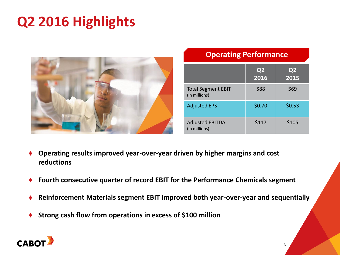# **Q2 2016 Highlights**



### **Operating Performance**

|                                            | Q <sub>2</sub><br>2016 | Q <sub>2</sub><br>2015 |
|--------------------------------------------|------------------------|------------------------|
| <b>Total Segment EBIT</b><br>(in millions) | \$88                   | \$69                   |
| <b>Adjusted EPS</b>                        | \$0.70                 | \$0.53                 |
| <b>Adjusted EBITDA</b><br>(in millions)    | \$117                  | \$105                  |

3

- **Operating results improved year-over-year driven by higher margins and cost reductions**
- **Fourth consecutive quarter of record EBIT for the Performance Chemicals segment**
- **Reinforcement Materials segment EBIT improved both year-over-year and sequentially**
- **Strong cash flow from operations in excess of \$100 million**

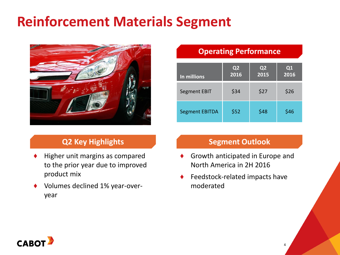# **Reinforcement Materials Segment**



### **Q2 Key Highlights**

- Higher unit margins as compared to the prior year due to improved product mix
- ♦ Volumes declined 1% year-overyear

### **Operating Performance**

| In millions           | Q <sub>2</sub><br>2016 | Q <sub>2</sub><br>2015 | Q1<br>2016 |
|-----------------------|------------------------|------------------------|------------|
| Segment EBIT          | \$34                   | \$27                   | \$26       |
| <b>Segment EBITDA</b> | \$52                   | \$48                   | \$46       |

#### **Segment Outlook**

- Growth anticipated in Europe and North America in 2H 2016
- Feedstock-related impacts have moderated

4

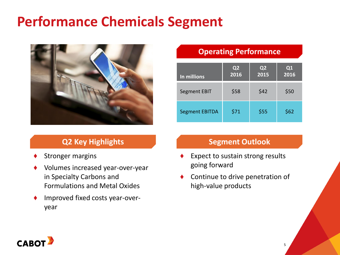# **Performance Chemicals Segment**



# **Q2 Key Highlights**

- Stronger margins
- Volumes increased year-over-year in Specialty Carbons and Formulations and Metal Oxides
- Improved fixed costs year-overyear

### **Operating Performance**

| In millions           | Q2<br>2016 | Q <sub>2</sub><br>2015 | Q1<br>2016 |
|-----------------------|------------|------------------------|------------|
| <b>Segment EBIT</b>   | \$58       | \$42                   | \$50       |
| <b>Segment EBITDA</b> | \$71       | \$55                   | \$62       |

### **Segment Outlook**

- Expect to sustain strong results going forward
- Continue to drive penetration of high-value products

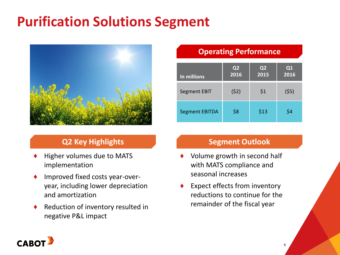# **Purification Solutions Segment**



# **Q2 Key Highlights**

- Higher volumes due to MATS implementation
- ♦ Improved fixed costs year-overyear, including lower depreciation and amortization
- ♦ Reduction of inventory resulted in negative P&L impact

### **Operating Performance**

| In millions           | Q2<br>2016 | Q2<br>2015 | Q1<br>2016 |
|-----------------------|------------|------------|------------|
| <b>Segment EBIT</b>   | (52)       | \$1        | (55)       |
| <b>Segment EBITDA</b> | \$8        | \$13       | \$4        |

#### **Segment Outlook**

- Volume growth in second half with MATS compliance and seasonal increases
- Expect effects from inventory reductions to continue for the remainder of the fiscal year

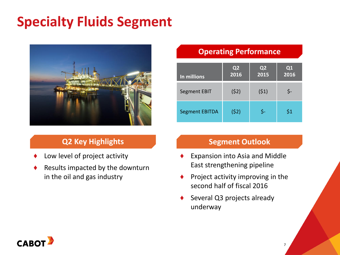# **Specialty Fluids Segment**



# **Q2 Key Highlights**

- Low level of project activity
- Results impacted by the downturn in the oil and gas industry

### **Operating Performance**

| In millions           | Q2<br>2016 | Q <sub>2</sub><br>2015 | Q1<br>2016 |
|-----------------------|------------|------------------------|------------|
| <b>Segment EBIT</b>   | (52)       | (51)                   | \$-        |
| <b>Segment EBITDA</b> | (52)       | Ş-                     | \$1        |

#### **Segment Outlook**

- Expansion into Asia and Middle East strengthening pipeline
- Project activity improving in the second half of fiscal 2016
- Several Q3 projects already underway

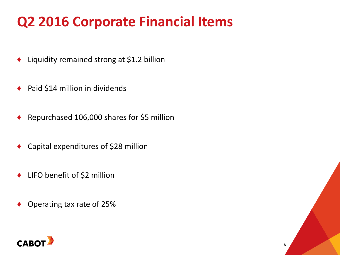# **Q2 2016 Corporate Financial Items**

- Liquidity remained strong at \$1.2 billion
- ◆ Paid \$14 million in dividends
- Repurchased 106,000 shares for \$5 million
- Capital expenditures of \$28 million
- ♦ LIFO benefit of \$2 million
- Operating tax rate of 25%



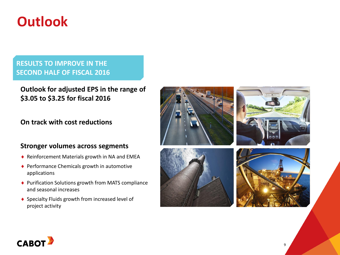# **Outlook**

#### **RESULTS TO IMPROVE IN THE SECOND HALF OF FISCAL 2016**

**Outlook for adjusted EPS in the range of \$3.05 to \$3.25 for fiscal 2016**

#### **On track with cost reductions**

#### **Stronger volumes across segments**

- ◆ Reinforcement Materials growth in NA and EMEA
- ◆ Performance Chemicals growth in automotive applications
- ◆ Purification Solutions growth from MATS compliance and seasonal increases
- ◆ Specialty Fluids growth from increased level of project activity